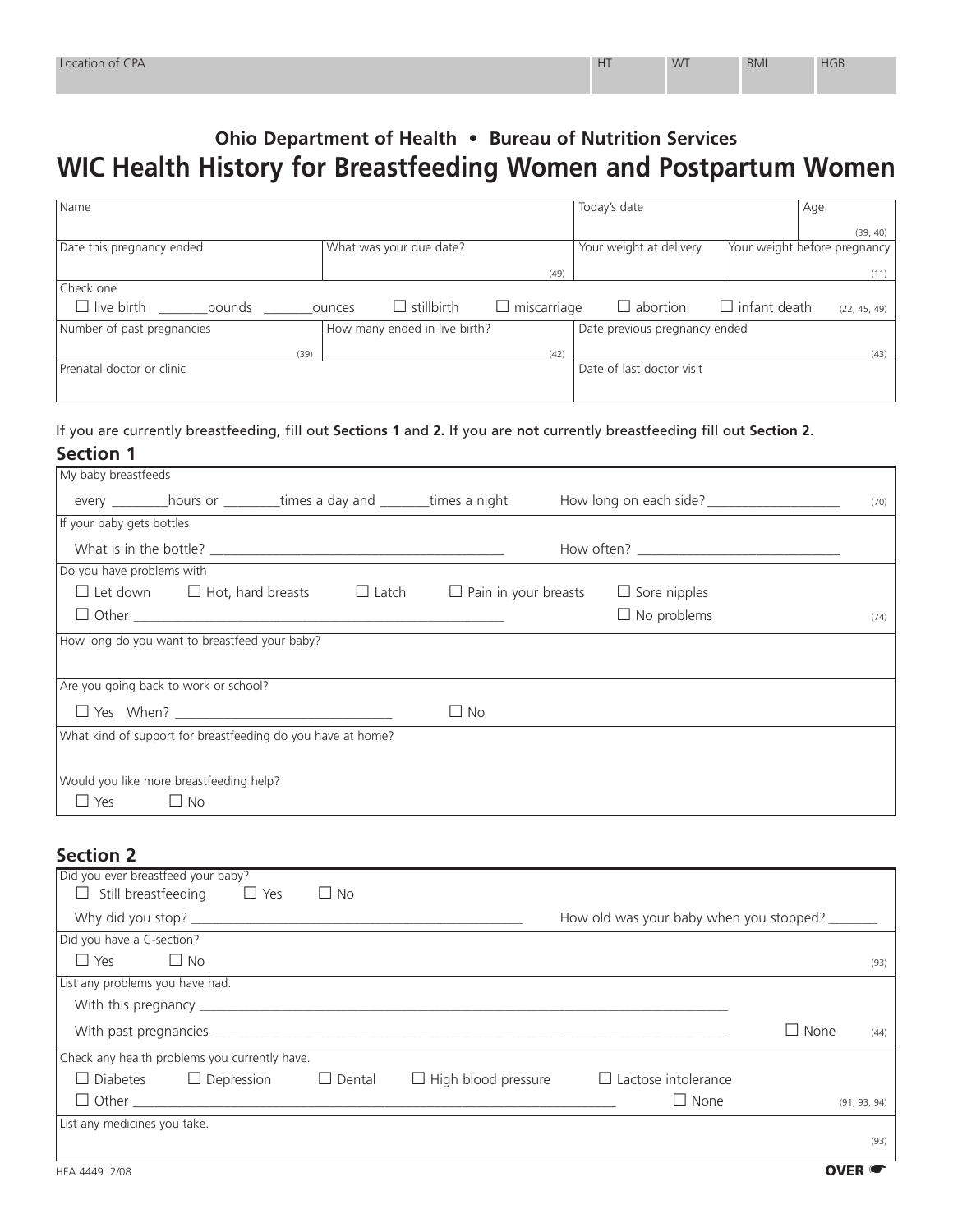## **Ohio Department of Health • Bureau of Nutrition Services WIC Health History for Breastfeeding Women and Postpartum Women**

| Name                        |                               |                    | Today's date                  | Age                                 |
|-----------------------------|-------------------------------|--------------------|-------------------------------|-------------------------------------|
|                             |                               |                    |                               | (39, 40)                            |
| Date this pregnancy ended   | What was your due date?       |                    | Your weight at delivery       | Your weight before pregnancy        |
|                             |                               | (49)               |                               | (11)                                |
| Check one                   |                               |                    |                               |                                     |
| $\Box$ live birth<br>pounds | $\Box$ stillbirth<br>ounces   | $\Box$ miscarriage | $\Box$ abortion               | $\Box$ infant death<br>(22, 45, 49) |
| Number of past pregnancies  | How many ended in live birth? |                    | Date previous pregnancy ended |                                     |
| (39)                        |                               | (42)               |                               | (43)                                |
| Prenatal doctor or clinic   |                               |                    | Date of last doctor visit     |                                     |
|                             |                               |                    |                               |                                     |

## If you are currently breastfeeding, fill out **Sections 1** and **2.** If you are **not** currently breastfeeding fill out **Section 2**.

| My baby breastfeeds                                                               |           |                                                 |      |  |  |
|-----------------------------------------------------------------------------------|-----------|-------------------------------------------------|------|--|--|
| every _____________hours or ___________times a day and _________times a night     |           | How long on each side? ________________________ | (70) |  |  |
| If your baby gets bottles                                                         |           |                                                 |      |  |  |
|                                                                                   |           |                                                 |      |  |  |
| Do you have problems with                                                         |           |                                                 |      |  |  |
| $\Box$ Let down $\Box$ Hot, hard breasts $\Box$ Latch $\Box$ Pain in your breasts |           | $\Box$ Sore nipples                             |      |  |  |
|                                                                                   |           | $\Box$ No problems                              | (74) |  |  |
| How long do you want to breastfeed your baby?                                     |           |                                                 |      |  |  |
|                                                                                   |           |                                                 |      |  |  |
| Are you going back to work or school?                                             |           |                                                 |      |  |  |
|                                                                                   | $\Box$ No |                                                 |      |  |  |
| What kind of support for breastfeeding do you have at home?                       |           |                                                 |      |  |  |
|                                                                                   |           |                                                 |      |  |  |
| Would you like more breastfeeding help?                                           |           |                                                 |      |  |  |
| $\Box$ Yes<br>$\Box$ No                                                           |           |                                                 |      |  |  |

## **Section 2**

| Did you ever breastfeed your baby?                 |                                                          |                     |
|----------------------------------------------------|----------------------------------------------------------|---------------------|
| $\Box$ Still breastfeeding $\Box$ Yes<br>$\Box$ No |                                                          |                     |
|                                                    | How old was your baby when you stopped?                  |                     |
| Did you have a C-section?                          |                                                          |                     |
| $\Box$ Yes<br>$\Box$ No                            |                                                          | (93)                |
| List any problems you have had.                    |                                                          |                     |
|                                                    |                                                          |                     |
|                                                    |                                                          | $\Box$ None<br>(44) |
| Check any health problems you currently have.      |                                                          |                     |
| $\Box$ Diabetes $\Box$ Depression<br>$\Box$ Dental | $\Box$ High blood pressure<br>$\Box$ Lactose intolerance |                     |
|                                                    | $\Box$ None                                              | (91, 93, 94)        |
| List any medicines you take.                       |                                                          |                     |
|                                                    |                                                          | (93)                |